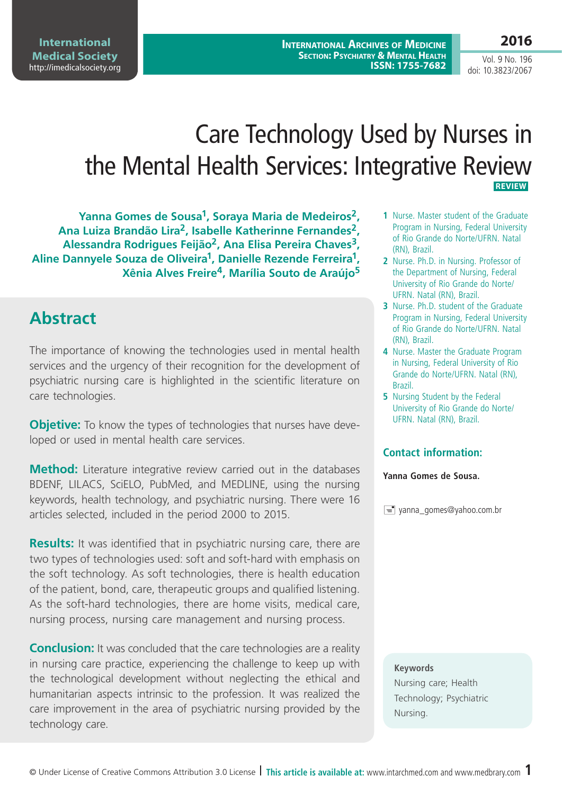# Care Technology Used by Nurses in the Mental Health Services: Integrative Review  **REVIEW**

**Yanna Gomes de Sousa1, Soraya Maria de Medeiros2, Ana Luiza Brandão Lira2, Isabelle Katherinne Fernandes2, Alessandra Rodrigues Feijão2, Ana Elisa Pereira Chaves3, Aline Dannyele Souza de Oliveira1, Danielle Rezende Ferreira1, Xênia Alves Freire4, Marília Souto de Araújo5**

## **Abstract**

The importance of knowing the technologies used in mental health services and the urgency of their recognition for the development of psychiatric nursing care is highlighted in the scientific literature on care technologies.

**Objetive:** To know the types of technologies that nurses have developed or used in mental health care services.

**Method:** Literature integrative review carried out in the databases BDENF, LILACS, SciELO, PubMed, and MEDLINE, using the nursing keywords, health technology, and psychiatric nursing. There were 16 articles selected, included in the period 2000 to 2015.

**Results:** It was identified that in psychiatric nursing care, there are two types of technologies used: soft and soft-hard with emphasis on the soft technology. As soft technologies, there is health education of the patient, bond, care, therapeutic groups and qualified listening. As the soft-hard technologies, there are home visits, medical care, nursing process, nursing care management and nursing process.

**Conclusion:** It was concluded that the care technologies are a reality in nursing care practice, experiencing the challenge to keep up with the technological development without neglecting the ethical and humanitarian aspects intrinsic to the profession. It was realized the care improvement in the area of psychiatric nursing provided by the technology care.

- **1** Nurse. Master student of the Graduate Program in Nursing, Federal University of Rio Grande do Norte/UFRN. Natal (RN), Brazil.
- **2** Nurse. Ph.D. in Nursing. Professor of the Department of Nursing, Federal University of Rio Grande do Norte/ UFRN. Natal (RN), Brazil.
- **3** Nurse. Ph.D. student of the Graduate Program in Nursing, Federal University of Rio Grande do Norte/UFRN. Natal (RN), Brazil.
- **4** Nurse. Master the Graduate Program in Nursing, Federal University of Rio Grande do Norte/UFRN. Natal (RN), Brazil.
- **5** Nursing Student by the Federal University of Rio Grande do Norte/ UFRN. Natal (RN), Brazil.

#### **Contact information:**

**Yanna Gomes de Sousa.**

 $\equiv$  yanna\_gomes@yahoo.com.br

#### **Keywords**

Nursing care; Health Technology; Psychiatric Nursing.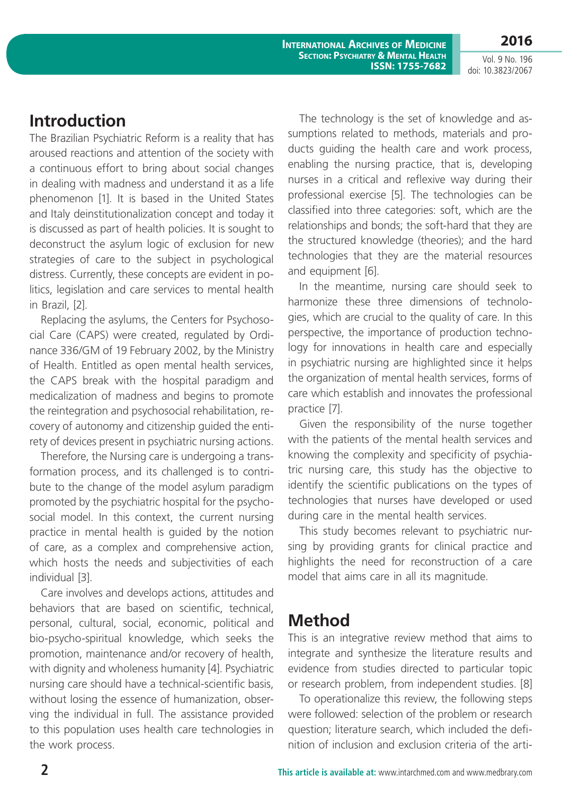Vol. 9 No. 196 doi: 10.3823/2067

**2016**

### **Introduction**

The Brazilian Psychiatric Reform is a reality that has aroused reactions and attention of the society with a continuous effort to bring about social changes in dealing with madness and understand it as a life phenomenon [1]. It is based in the United States and Italy deinstitutionalization concept and today it is discussed as part of health policies. It is sought to deconstruct the asylum logic of exclusion for new strategies of care to the subject in psychological distress. Currently, these concepts are evident in politics, legislation and care services to mental health in Brazil, [2].

Replacing the asylums, the Centers for Psychosocial Care (CAPS) were created, regulated by Ordinance 336/GM of 19 February 2002, by the Ministry of Health. Entitled as open mental health services, the CAPS break with the hospital paradigm and medicalization of madness and begins to promote the reintegration and psychosocial rehabilitation, recovery of autonomy and citizenship guided the entirety of devices present in psychiatric nursing actions.

Therefore, the Nursing care is undergoing a transformation process, and its challenged is to contribute to the change of the model asylum paradigm promoted by the psychiatric hospital for the psychosocial model. In this context, the current nursing practice in mental health is guided by the notion of care, as a complex and comprehensive action, which hosts the needs and subjectivities of each individual [3].

Care involves and develops actions, attitudes and behaviors that are based on scientific, technical, personal, cultural, social, economic, political and bio-psycho-spiritual knowledge, which seeks the promotion, maintenance and/or recovery of health, with dignity and wholeness humanity [4]. Psychiatric nursing care should have a technical-scientific basis, without losing the essence of humanization, observing the individual in full. The assistance provided to this population uses health care technologies in the work process.

The technology is the set of knowledge and assumptions related to methods, materials and products guiding the health care and work process, enabling the nursing practice, that is, developing nurses in a critical and reflexive way during their professional exercise [5]. The technologies can be classified into three categories: soft, which are the relationships and bonds; the soft-hard that they are the structured knowledge (theories); and the hard technologies that they are the material resources and equipment [6].

In the meantime, nursing care should seek to harmonize these three dimensions of technologies, which are crucial to the quality of care. In this perspective, the importance of production technology for innovations in health care and especially in psychiatric nursing are highlighted since it helps the organization of mental health services, forms of care which establish and innovates the professional practice [7].

Given the responsibility of the nurse together with the patients of the mental health services and knowing the complexity and specificity of psychiatric nursing care, this study has the objective to identify the scientific publications on the types of technologies that nurses have developed or used during care in the mental health services.

This study becomes relevant to psychiatric nursing by providing grants for clinical practice and highlights the need for reconstruction of a care model that aims care in all its magnitude.

### **Method**

This is an integrative review method that aims to integrate and synthesize the literature results and evidence from studies directed to particular topic or research problem, from independent studies. [8]

To operationalize this review, the following steps were followed: selection of the problem or research question; literature search, which included the definition of inclusion and exclusion criteria of the arti-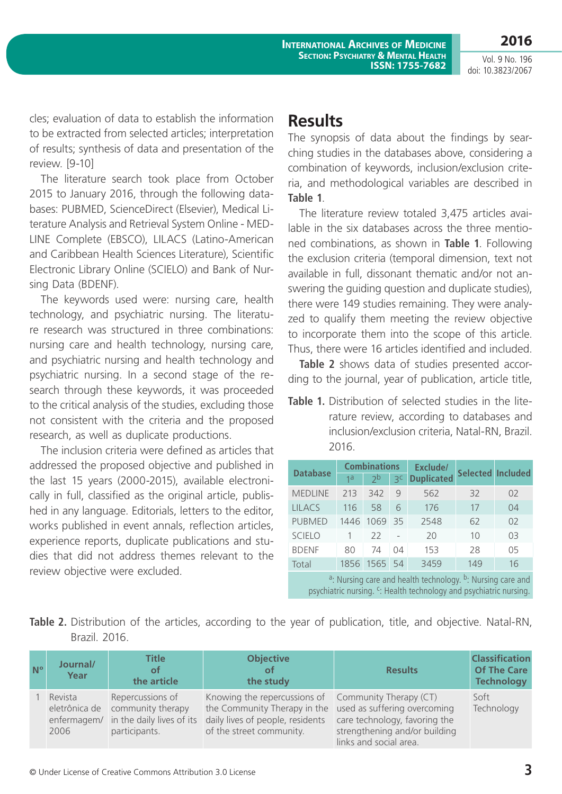Vol. 9 No. 196 doi: 10.3823/2067

**2016**

cles; evaluation of data to establish the information to be extracted from selected articles; interpretation of results; synthesis of data and presentation of the review. [9-10]

The literature search took place from October 2015 to January 2016, through the following databases: PUBMED, ScienceDirect (Elsevier), Medical Literature Analysis and Retrieval System Online - MED-LINE Complete (EBSCO), LILACS (Latino-American and Caribbean Health Sciences Literature), Scientific Electronic Library Online (SCIELO) and Bank of Nursing Data (BDENF).

The keywords used were: nursing care, health technology, and psychiatric nursing. The literature research was structured in three combinations: nursing care and health technology, nursing care, and psychiatric nursing and health technology and psychiatric nursing. In a second stage of the research through these keywords, it was proceeded to the critical analysis of the studies, excluding those not consistent with the criteria and the proposed research, as well as duplicate productions.

The inclusion criteria were defined as articles that addressed the proposed objective and published in the last 15 years (2000-2015), available electronically in full, classified as the original article, published in any language. Editorials, letters to the editor, works published in event annals, reflection articles, experience reports, duplicate publications and studies that did not address themes relevant to the review objective were excluded.

### **Results**

The synopsis of data about the findings by searching studies in the databases above, considering a combination of keywords, inclusion/exclusion criteria, and methodological variables are described in **Table 1**.

The literature review totaled 3,475 articles available in the six databases across the three mentioned combinations, as shown in **Table 1**. Following the exclusion criteria (temporal dimension, text not available in full, dissonant thematic and/or not answering the guiding question and duplicate studies), there were 149 studies remaining. They were analyzed to qualify them meeting the review objective to incorporate them into the scope of this article. Thus, there were 16 articles identified and included.

**Table 2** shows data of studies presented according to the journal, year of publication, article title,

**Table 1.** Distribution of selected studies in the literature review, according to databases and inclusion/exclusion criteria, Natal-RN, Brazil. 2016.

| <b>Database</b> | <b>Combinations</b> |                |                | Exclude/          | Selected Included |                |  |
|-----------------|---------------------|----------------|----------------|-------------------|-------------------|----------------|--|
|                 | 1a                  | 2 <sub>p</sub> | 3 <sup>c</sup> | <b>Duplicated</b> |                   |                |  |
| <b>MEDLINE</b>  | 213                 | 342            | 9              | 562               | 32                | 02             |  |
| <b>LILACS</b>   | 116                 | 58             | 6              | 176               | 17                | 04             |  |
| <b>PUBMED</b>   |                     | 1446 1069      | -35            | 2548              | 62                | O <sub>2</sub> |  |
| <b>SCIELO</b>   |                     | 22             |                | 20                | 10                | 0 <sup>3</sup> |  |
| <b>BDENF</b>    | 80                  | 74             | 04             | 153               | 28                | 05             |  |
| Total           | 1856                | 1565 54        |                | 3459              | 149               | 16             |  |

<sup>a</sup>: Nursing care and health technology. <sup>b</sup>: Nursing care and psychiatric nursing. <sup>c</sup>: Health technology and psychiatric nursing.

**Table 2.** Distribution of the articles, according to the year of publication, title, and objective. Natal-RN, Brazil. 2016.

| $N^{\circ}$ | Journal/<br>Year | <b>Title</b><br>of<br>the article                                    | <b>Objective</b><br><b>of</b><br>the study                                                                                                                                                                               | <b>Results</b>                                                                           | <b>Classification</b><br><b>Of The Care</b><br><b>Technology</b> |
|-------------|------------------|----------------------------------------------------------------------|--------------------------------------------------------------------------------------------------------------------------------------------------------------------------------------------------------------------------|------------------------------------------------------------------------------------------|------------------------------------------------------------------|
|             | Revista<br>2006  | Repercussions of<br>eletrônica de community therapy<br>participants. | Knowing the repercussions of Community Therapy $(CT)$<br>the Community Therapy in the used as suffering overcoming<br>enfermagem/ in the daily lives of its daily lives of people, residents<br>of the street community. | care technology, favoring the<br>strengthening and/or building<br>links and social area. | Soft<br>Technology                                               |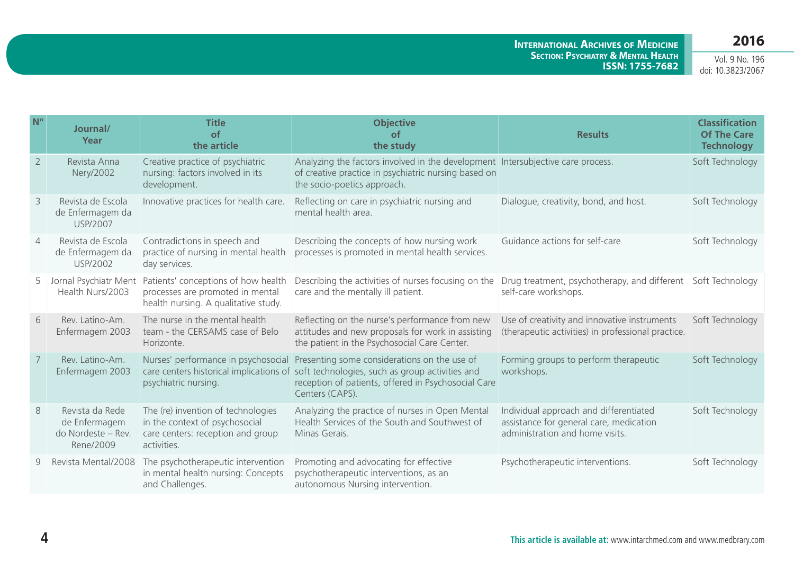| $N^{\circ}$    | Journal/<br>Year                                                    | <b>Title</b><br>$\circ$ f<br>the article                                                                                 | <b>Objective</b><br>$\circ$ f<br>the study                                                                                                                                | <b>Results</b>                                                                                                       | <b>Classification</b><br><b>Of The Care</b><br><b>Technology</b> |
|----------------|---------------------------------------------------------------------|--------------------------------------------------------------------------------------------------------------------------|---------------------------------------------------------------------------------------------------------------------------------------------------------------------------|----------------------------------------------------------------------------------------------------------------------|------------------------------------------------------------------|
| $\overline{2}$ | Revista Anna<br>Nery/2002                                           | Creative practice of psychiatric<br>nursing: factors involved in its<br>development.                                     | Analyzing the factors involved in the development Intersubjective care process.<br>of creative practice in psychiatric nursing based on<br>the socio-poetics approach.    |                                                                                                                      | Soft Technology                                                  |
| 3              | Revista de Escola<br>de Enfermagem da<br><b>USP/2007</b>            | Innovative practices for health care.                                                                                    | Reflecting on care in psychiatric nursing and<br>mental health area.                                                                                                      | Dialogue, creativity, bond, and host.                                                                                | Soft Technology                                                  |
| $\overline{4}$ | Revista de Escola<br>de Enfermagem da<br><b>USP/2002</b>            | Contradictions in speech and<br>practice of nursing in mental health<br>day services.                                    | Describing the concepts of how nursing work<br>processes is promoted in mental health services.                                                                           | Guidance actions for self-care                                                                                       | Soft Technology                                                  |
| 5              | Jornal Psychiatr Ment<br>Health Nurs/2003                           | Patients' conceptions of how health<br>processes are promoted in mental<br>health nursing. A qualitative study.          | Describing the activities of nurses focusing on the<br>care and the mentally ill patient.                                                                                 | Drug treatment, psychotherapy, and different<br>self-care workshops.                                                 | Soft Technology                                                  |
| 6              | Rev. Latino-Am.<br>Enfermagem 2003                                  | The nurse in the mental health<br>team - the CERSAMS case of Belo<br>Horizonte.                                          | Reflecting on the nurse's performance from new<br>attitudes and new proposals for work in assisting<br>the patient in the Psychosocial Care Center.                       | Use of creativity and innovative instruments<br>(therapeutic activities) in professional practice.                   | Soft Technology                                                  |
| 7              | Rev. Latino-Am.<br>Enfermagem 2003                                  | Nurses' performance in psychosocial<br>care centers historical implications of<br>psychiatric nursing.                   | Presenting some considerations on the use of<br>soft technologies, such as group activities and<br>reception of patients, offered in Psychosocial Care<br>Centers (CAPS). | Forming groups to perform therapeutic<br>workshops.                                                                  | Soft Technology                                                  |
| $\,8\,$        | Revista da Rede<br>de Enfermagem<br>do Nordeste - Rev.<br>Rene/2009 | The (re) invention of technologies<br>in the context of psychosocial<br>care centers: reception and group<br>activities. | Analyzing the practice of nurses in Open Mental<br>Health Services of the South and Southwest of<br>Minas Gerais.                                                         | Individual approach and differentiated<br>assistance for general care, medication<br>administration and home visits. | Soft Technology                                                  |
| 9              | Revista Mental/2008                                                 | The psychotherapeutic intervention<br>in mental health nursing: Concepts<br>and Challenges.                              | Promoting and advocating for effective<br>psychotherapeutic interventions, as an<br>autonomous Nursing intervention.                                                      | Psychotherapeutic interventions.                                                                                     | Soft Technology                                                  |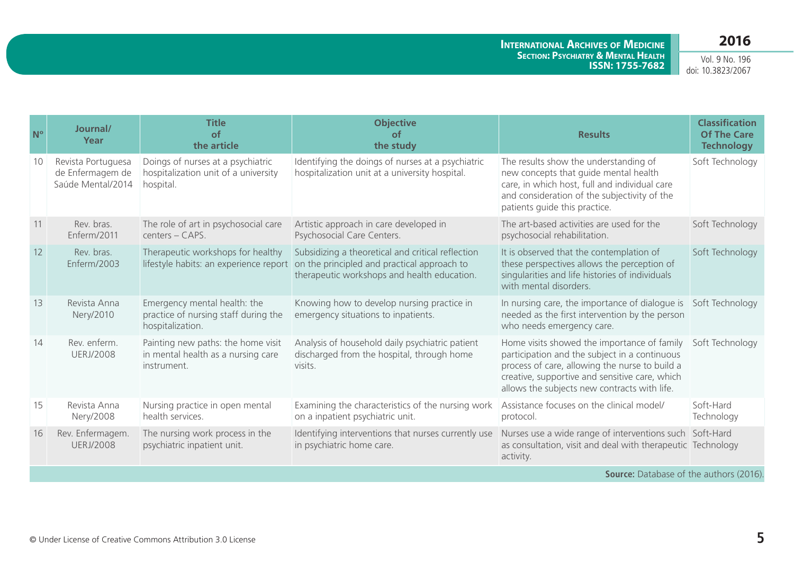Vol. 9 No. 196 doi: 10.3823/2067

| $N^{\circ}$ | Journal/<br>Year                                            | <b>Title</b><br>of<br>the article                                                        | <b>Objective</b><br><b>of</b><br>the study                                                                                                      | <b>Results</b>                                                                                                                                                                                                                                   | <b>Classification</b><br><b>Of The Care</b><br><b>Technology</b> |  |  |
|-------------|-------------------------------------------------------------|------------------------------------------------------------------------------------------|-------------------------------------------------------------------------------------------------------------------------------------------------|--------------------------------------------------------------------------------------------------------------------------------------------------------------------------------------------------------------------------------------------------|------------------------------------------------------------------|--|--|
| 10          | Revista Portuguesa<br>de Enfermagem de<br>Saúde Mental/2014 | Doings of nurses at a psychiatric<br>hospitalization unit of a university<br>hospital.   | Identifying the doings of nurses at a psychiatric<br>hospitalization unit at a university hospital.                                             | The results show the understanding of<br>new concepts that guide mental health<br>care, in which host, full and individual care<br>and consideration of the subjectivity of the<br>patients quide this practice.                                 | Soft Technology                                                  |  |  |
| 11          | Rev. bras.<br>Enferm/2011                                   | The role of art in psychosocial care<br>centers - CAPS.                                  | Artistic approach in care developed in<br>Psychosocial Care Centers.                                                                            | The art-based activities are used for the<br>psychosocial rehabilitation.                                                                                                                                                                        | Soft Technology                                                  |  |  |
| 12          | Rev. bras.<br>Enferm/2003                                   | Therapeutic workshops for healthy<br>lifestyle habits: an experience report              | Subsidizing a theoretical and critical reflection<br>on the principled and practical approach to<br>therapeutic workshops and health education. | It is observed that the contemplation of<br>these perspectives allows the perception of<br>singularities and life histories of individuals<br>with mental disorders.                                                                             | Soft Technology                                                  |  |  |
| 13          | Revista Anna<br>Nery/2010                                   | Emergency mental health: the<br>practice of nursing staff during the<br>hospitalization. | Knowing how to develop nursing practice in<br>emergency situations to inpatients.                                                               | In nursing care, the importance of dialogue is<br>needed as the first intervention by the person<br>who needs emergency care.                                                                                                                    | Soft Technology                                                  |  |  |
| 14          | Rev. enferm.<br><b>UERJ/2008</b>                            | Painting new paths: the home visit<br>in mental health as a nursing care<br>instrument.  | Analysis of household daily psychiatric patient<br>discharged from the hospital, through home<br>visits.                                        | Home visits showed the importance of family<br>participation and the subject in a continuous<br>process of care, allowing the nurse to build a<br>creative, supportive and sensitive care, which<br>allows the subjects new contracts with life. | Soft Technology                                                  |  |  |
| 15          | Revista Anna<br>Nery/2008                                   | Nursing practice in open mental<br>health services.                                      | Examining the characteristics of the nursing work<br>on a inpatient psychiatric unit.                                                           | Assistance focuses on the clinical model/<br>protocol.                                                                                                                                                                                           | Soft-Hard<br>Technology                                          |  |  |
| 16          | Rev. Enfermagem.<br><b>UERJ/2008</b>                        | The nursing work process in the<br>psychiatric inpatient unit.                           | Identifying interventions that nurses currently use<br>in psychiatric home care.                                                                | Nurses use a wide range of interventions such Soft-Hard<br>as consultation, visit and deal with therapeutic Technology<br>activity.                                                                                                              |                                                                  |  |  |
|             | <b>Source:</b> Database of the authors (2016)               |                                                                                          |                                                                                                                                                 |                                                                                                                                                                                                                                                  |                                                                  |  |  |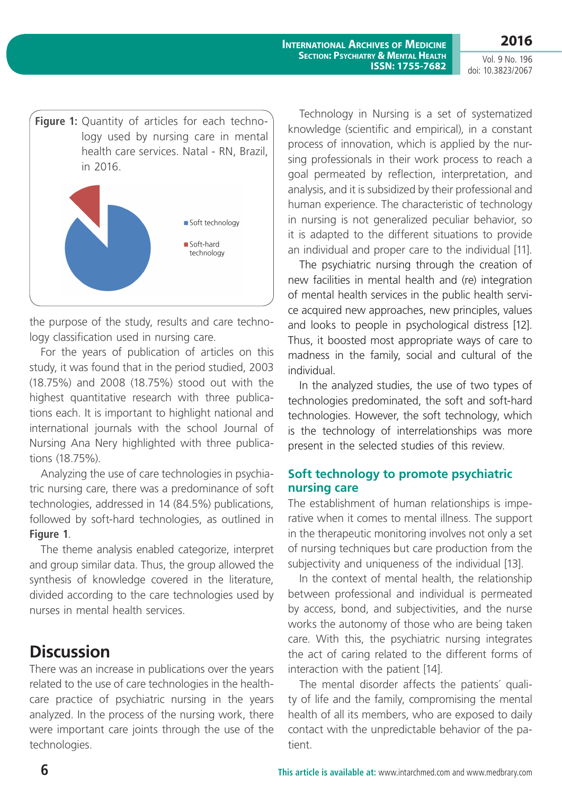Vol. 9 No. 196 doi: 10.3823/2067

**2016**



the purpose of the study, results and care technology classification used in nursing care.

For the years of publication of articles on this study, it was found that in the period studied, 2003 (18.75%) and 2008 (18.75%) stood out with the highest quantitative research with three publications each. It is important to highlight national and international journals with the school Journal of Nursing Ana Nery highlighted with three publications (18.75%).

Analyzing the use of care technologies in psychiatric nursing care, there was a predominance of soft technologies, addressed in 14 (84.5%) publications, followed by soft-hard technologies, as outlined in **Figure 1**.

The theme analysis enabled categorize, interpret and group similar data. Thus, the group allowed the synthesis of knowledge covered in the literature, divided according to the care technologies used by nurses in mental health services.

## **Discussion**

There was an increase in publications over the years related to the use of care technologies in the healthcare practice of psychiatric nursing in the years analyzed. In the process of the nursing work, there were important care joints through the use of the technologies.

Technology in Nursing is a set of systematized knowledge (scientific and empirical), in a constant process of innovation, which is applied by the nursing professionals in their work process to reach a goal permeated by reflection, interpretation, and analysis, and it is subsidized by their professional and human experience. The characteristic of technology in nursing is not generalized peculiar behavior, so it is adapted to the different situations to provide an individual and proper care to the individual [11].

The psychiatric nursing through the creation of new facilities in mental health and (re) integration of mental health services in the public health service acquired new approaches, new principles, values and looks to people in psychological distress [12]. Thus, it boosted most appropriate ways of care to madness in the family, social and cultural of the individual.

In the analyzed studies, the use of two types of technologies predominated, the soft and soft-hard technologies. However, the soft technology, which is the technology of interrelationships was more present in the selected studies of this review.

#### **Soft technology to promote psychiatric nursing care**

The establishment of human relationships is imperative when it comes to mental illness. The support in the therapeutic monitoring involves not only a set of nursing techniques but care production from the subjectivity and uniqueness of the individual [13].

In the context of mental health, the relationship between professional and individual is permeated by access, bond, and subjectivities, and the nurse works the autonomy of those who are being taken care. With this, the psychiatric nursing integrates the act of caring related to the different forms of interaction with the patient [14].

The mental disorder affects the patients´ quality of life and the family, compromising the mental health of all its members, who are exposed to daily contact with the unpredictable behavior of the patient.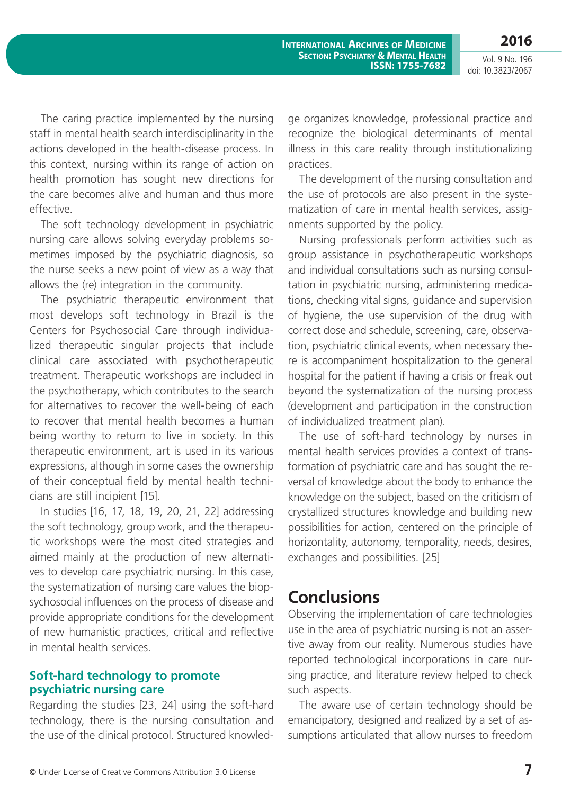**2016**

The caring practice implemented by the nursing staff in mental health search interdisciplinarity in the actions developed in the health-disease process. In this context, nursing within its range of action on health promotion has sought new directions for the care becomes alive and human and thus more effective.

The soft technology development in psychiatric nursing care allows solving everyday problems sometimes imposed by the psychiatric diagnosis, so the nurse seeks a new point of view as a way that allows the (re) integration in the community.

The psychiatric therapeutic environment that most develops soft technology in Brazil is the Centers for Psychosocial Care through individualized therapeutic singular projects that include clinical care associated with psychotherapeutic treatment. Therapeutic workshops are included in the psychotherapy, which contributes to the search for alternatives to recover the well-being of each to recover that mental health becomes a human being worthy to return to live in society. In this therapeutic environment, art is used in its various expressions, although in some cases the ownership of their conceptual field by mental health technicians are still incipient [15].

In studies [16, 17, 18, 19, 20, 21, 22] addressing the soft technology, group work, and the therapeutic workshops were the most cited strategies and aimed mainly at the production of new alternatives to develop care psychiatric nursing. In this case, the systematization of nursing care values the biopsychosocial influences on the process of disease and provide appropriate conditions for the development of new humanistic practices, critical and reflective in mental health services.

#### **Soft-hard technology to promote psychiatric nursing care**

Regarding the studies [23, 24] using the soft-hard technology, there is the nursing consultation and the use of the clinical protocol. Structured knowledge organizes knowledge, professional practice and recognize the biological determinants of mental illness in this care reality through institutionalizing practices.

The development of the nursing consultation and the use of protocols are also present in the systematization of care in mental health services, assignments supported by the policy.

Nursing professionals perform activities such as group assistance in psychotherapeutic workshops and individual consultations such as nursing consultation in psychiatric nursing, administering medications, checking vital signs, guidance and supervision of hygiene, the use supervision of the drug with correct dose and schedule, screening, care, observation, psychiatric clinical events, when necessary there is accompaniment hospitalization to the general hospital for the patient if having a crisis or freak out beyond the systematization of the nursing process (development and participation in the construction of individualized treatment plan).

The use of soft-hard technology by nurses in mental health services provides a context of transformation of psychiatric care and has sought the reversal of knowledge about the body to enhance the knowledge on the subject, based on the criticism of crystallized structures knowledge and building new possibilities for action, centered on the principle of horizontality, autonomy, temporality, needs, desires, exchanges and possibilities. [25]

#### **Conclusions**

Observing the implementation of care technologies use in the area of psychiatric nursing is not an assertive away from our reality. Numerous studies have reported technological incorporations in care nursing practice, and literature review helped to check such aspects.

The aware use of certain technology should be emancipatory, designed and realized by a set of assumptions articulated that allow nurses to freedom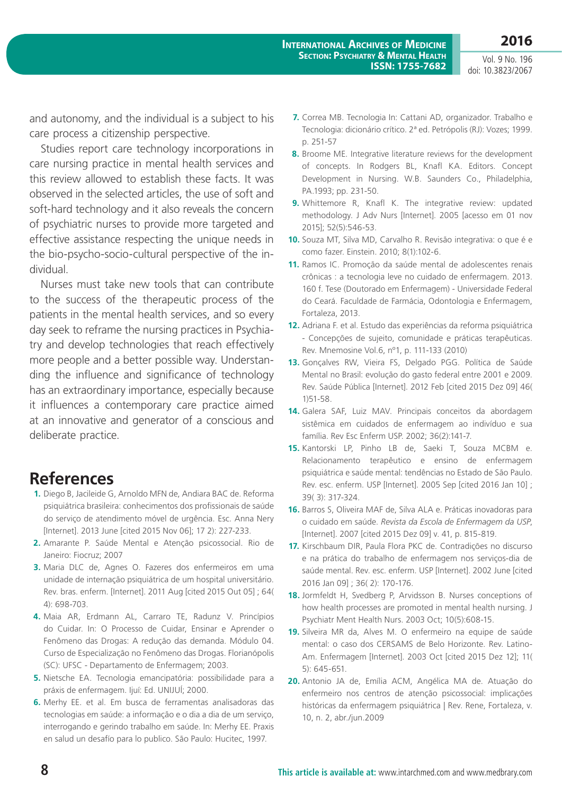and autonomy, and the individual is a subject to his care process a citizenship perspective.

Studies report care technology incorporations in care nursing practice in mental health services and this review allowed to establish these facts. It was observed in the selected articles, the use of soft and soft-hard technology and it also reveals the concern of psychiatric nurses to provide more targeted and effective assistance respecting the unique needs in the bio-psycho-socio-cultural perspective of the individual.

Nurses must take new tools that can contribute to the success of the therapeutic process of the patients in the mental health services, and so every day seek to reframe the nursing practices in Psychiatry and develop technologies that reach effectively more people and a better possible way. Understanding the influence and significance of technology has an extraordinary importance, especially because it influences a contemporary care practice aimed at an innovative and generator of a conscious and deliberate practice.

#### **References**

- **1.** Diego B, Jacileide G, Arnoldo MFN de, Andiara BAC de. Reforma psiquiátrica brasileira: conhecimentos dos profissionais de saúde do serviço de atendimento móvel de urgência. Esc. Anna Nery [Internet]. 2013 June [cited 2015 Nov 06]; 17 2): 227-233.
- **2.** Amarante P. Saúde Mental e Atenção psicossocial. Rio de Janeiro: Fiocruz; 2007
- **3.** Maria DLC de, Agnes O. Fazeres dos enfermeiros em uma unidade de internação psiquiátrica de um hospital universitário. Rev. bras. enferm. [Internet]. 2011 Aug [cited 2015 Out 05] ; 64( 4): 698-703.
- **4.** Maia AR, Erdmann AL, Carraro TE, Radunz V. Princípios do Cuidar. In: O Processo de Cuidar, Ensinar e Aprender o Fenômeno das Drogas: A redução das demanda. Módulo 04. Curso de Especialização no Fenômeno das Drogas. Florianópolis (SC): UFSC - Departamento de Enfermagem; 2003.
- **5.** Nietsche EA. Tecnologia emancipatória: possibilidade para a práxis de enfermagem. Ijuí: Ed. UNIJUÍ; 2000.
- **6.** Merhy EE. et al. Em busca de ferramentas analisadoras das tecnologias em saúde: a informação e o dia a dia de um serviço, interrogando e gerindo trabalho em saúde. In: Merhy EE. Praxis en salud un desafío para lo publico. São Paulo: Hucitec, 1997.
- **7.** Correa MB. Tecnologia In: Cattani AD, organizador. Trabalho e Tecnologia: dicionário crítico. 2ª ed. Petrópolis (RJ): Vozes; 1999. p. 251-57
- **8.** Broome ME. Integrative literature reviews for the development of concepts. In Rodgers BL, Knafl KA. Editors. Concept Development in Nursing. W.B. Saunders Co., Philadelphia, PA.1993; pp. 231-50.
- **9.** Whittemore R, Knafl K. The integrative review: updated methodology. J Adv Nurs [Internet]. 2005 [acesso em 01 nov 2015]; 52(5):546-53.
- **10.** Souza MT, Silva MD, Carvalho R. Revisão integrativa: o que é e como fazer. Einstein. 2010; 8(1):102-6.
- **11.** Ramos IC. Promoção da saúde mental de adolescentes renais crônicas : a tecnologia leve no cuidado de enfermagem. 2013. 160 f. Tese (Doutorado em Enfermagem) - Universidade Federal do Ceará. Faculdade de Farmácia, Odontologia e Enfermagem, Fortaleza, 2013.
- **12.** Adriana F. et al. Estudo das experiências da reforma psiquiátrica - Concepções de sujeito, comunidade e práticas terapêuticas. Rev. Mnemosine Vol.6, nº1, p. 111-133 (2010)
- **13.** Gonçalves RW, Vieira FS, Delgado PGG. Política de Saúde Mental no Brasil: evolução do gasto federal entre 2001 e 2009. Rev. Saúde Pública [Internet]. 2012 Feb [cited 2015 Dez 09] 46( 1)51-58.
- **14.** Galera SAF, Luiz MAV. Principais conceitos da abordagem sistêmica em cuidados de enfermagem ao indivíduo e sua família. Rev Esc Enferm USP. 2002; 36(2):141-7.
- **15.** Kantorski LP, Pinho LB de, Saeki T, Souza MCBM e. Relacionamento terapêutico e ensino de enfermagem psiquiátrica e saúde mental: tendências no Estado de São Paulo. Rev. esc. enferm. USP [Internet]. 2005 Sep [cited 2016 Jan 10] ; 39( 3): 317-324.
- **16.** Barros S, Oliveira MAF de, Silva ALA e. Práticas inovadoras para o cuidado em saúde. *Revista da Escola de Enfermagem da USP*, [Internet]. 2007 [cited 2015 Dez 09] v. 41, p. 815-819.
- **17.** Kirschbaum DIR, Paula Flora PKC de. Contradições no discurso e na prática do trabalho de enfermagem nos serviços-dia de saúde mental. Rev. esc. enferm. USP [Internet]. 2002 June [cited 2016 Jan 09] ; 36( 2): 170-176.
- **18.** Jormfeldt H, Svedberg P, Arvidsson B. Nurses conceptions of how health processes are promoted in mental health nursing. J Psychiatr Ment Health Nurs. 2003 Oct; 10(5):608-15.
- **19.** Silveira MR da, Alves M. O enfermeiro na equipe de saúde mental: o caso dos CERSAMS de Belo Horizonte. Rev. Latino-Am. Enfermagem [Internet]. 2003 Oct [cited 2015 Dez 12]; 11( 5): 645-651.
- **20.** Antonio JA de, Emília ACM, Angélica MA de. Atuação do enfermeiro nos centros de atenção psicossocial: implicações históricas da enfermagem psiquiátrica | Rev. Rene, Fortaleza, v. 10, n. 2, abr./jun.2009